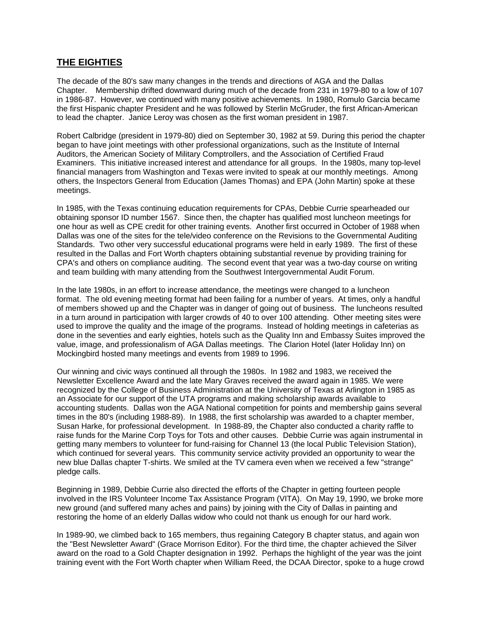## **THE EIGHTIES**

The decade of the 80's saw many changes in the trends and directions of AGA and the Dallas Chapter. Membership drifted downward during much of the decade from 231 in 1979-80 to a low of 107 in 1986-87. However, we continued with many positive achievements. In 1980, Romulo Garcia became the first Hispanic chapter President and he was followed by Sterlin McGruder, the first African-American to lead the chapter. Janice Leroy was chosen as the first woman president in 1987.

Robert Calbridge (president in 1979-80) died on September 30, 1982 at 59. During this period the chapter began to have joint meetings with other professional organizations, such as the Institute of Internal Auditors, the American Society of Military Comptrollers, and the Association of Certified Fraud Examiners. This initiative increased interest and attendance for all groups. In the 1980s, many top-level financial managers from Washington and Texas were invited to speak at our monthly meetings. Among others, the Inspectors General from Education (James Thomas) and EPA (John Martin) spoke at these meetings.

In 1985, with the Texas continuing education requirements for CPAs, Debbie Currie spearheaded our obtaining sponsor ID number 1567. Since then, the chapter has qualified most luncheon meetings for one hour as well as CPE credit for other training events. Another first occurred in October of 1988 when Dallas was one of the sites for the tele/video conference on the Revisions to the Governmental Auditing Standards. Two other very successful educational programs were held in early 1989. The first of these resulted in the Dallas and Fort Worth chapters obtaining substantial revenue by providing training for CPA's and others on compliance auditing. The second event that year was a two-day course on writing and team building with many attending from the Southwest Intergovernmental Audit Forum.

In the late 1980s, in an effort to increase attendance, the meetings were changed to a luncheon format. The old evening meeting format had been failing for a number of years. At times, only a handful of members showed up and the Chapter was in danger of going out of business. The luncheons resulted in a turn around in participation with larger crowds of 40 to over 100 attending. Other meeting sites were used to improve the quality and the image of the programs. Instead of holding meetings in cafeterias as done in the seventies and early eighties, hotels such as the Quality Inn and Embassy Suites improved the value, image, and professionalism of AGA Dallas meetings. The Clarion Hotel (later Holiday Inn) on Mockingbird hosted many meetings and events from 1989 to 1996.

Our winning and civic ways continued all through the 1980s. In 1982 and 1983, we received the Newsletter Excellence Award and the late Mary Graves received the award again in 1985. We were recognized by the College of Business Administration at the University of Texas at Arlington in 1985 as an Associate for our support of the UTA programs and making scholarship awards available to accounting students. Dallas won the AGA National competition for points and membership gains several times in the 80's (including 1988-89). In 1988, the first scholarship was awarded to a chapter member, Susan Harke, for professional development. In 1988-89, the Chapter also conducted a charity raffle to raise funds for the Marine Corp Toys for Tots and other causes. Debbie Currie was again instrumental in getting many members to volunteer for fund-raising for Channel 13 (the local Public Television Station), which continued for several years. This community service activity provided an opportunity to wear the new blue Dallas chapter T-shirts. We smiled at the TV camera even when we received a few "strange" pledge calls.

Beginning in 1989, Debbie Currie also directed the efforts of the Chapter in getting fourteen people involved in the IRS Volunteer Income Tax Assistance Program (VITA). On May 19, 1990, we broke more new ground (and suffered many aches and pains) by joining with the City of Dallas in painting and restoring the home of an elderly Dallas widow who could not thank us enough for our hard work.

In 1989-90, we climbed back to 165 members, thus regaining Category B chapter status, and again won the "Best Newsletter Award" (Grace Morrison Editor). For the third time, the chapter achieved the Silver award on the road to a Gold Chapter designation in 1992. Perhaps the highlight of the year was the joint training event with the Fort Worth chapter when William Reed, the DCAA Director, spoke to a huge crowd